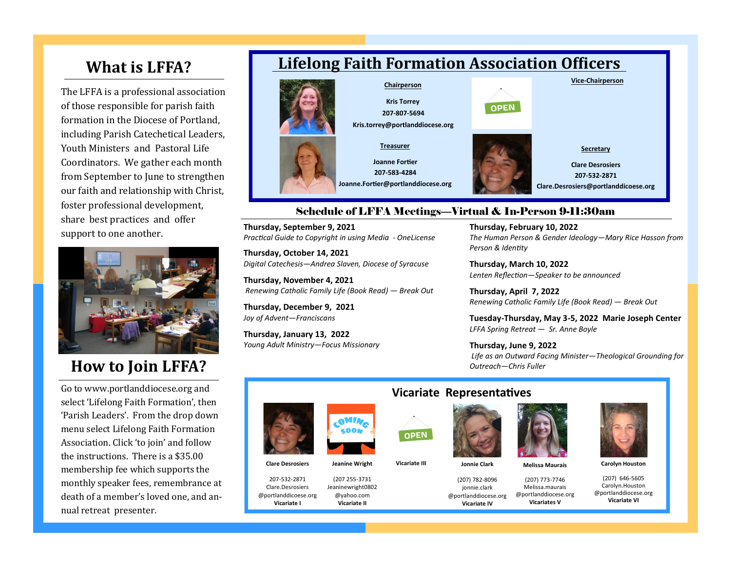## **What is LFFA?**

The LFFA is a professional association of those responsible for parish faith formation in the Diocese of Portland, including Parish Catechetical Leaders, Youth Ministers and Pastoral Life Coordinators. We gather each month from September to June to strengthen our faith and relationship with Christ, foster professional development, share best practices and offer support to one another.



# **How to Join LFFA?**

Go to www.portlanddiocese.org and select 'Lifelong Faith Formation', then 'Parish Leaders'. From the drop down menu select Lifelong Faith Formation Association. Click 'to join' and follow the instructions. There is a \$35.00 membership fee which supports the monthly speaker fees, remembrance at death of a member's loved one, and annual retreat presenter.

## **Lifelong Faith Formation Association Officers**



### Schedule of LFFA Meetings—Virtual & In-Person 9-11:30am

**Thursday, September 9, 2021** *Practical Guide to Copyright in using Media - OneLicense*

**Thursday, October 14, 2021** *Digital Catechesis—Andrea Slaven, Diocese of Syracuse*

**Thursday, November 4, 2021** *Renewing Catholic Family Life (Book Read) — Break Out* 

**Thursday, December 9, 2021** *Joy of Advent—Franciscans*

**Thursday, January 13, 2022** *Young Adult Ministry—Focus Missionary*

#### **Thursday, February 10, 2022**

*The Human Person & Gender Ideology—Mary Rice Hasson from Person & Identity*

**Thursday, March 10, 2022** *Lenten Reflection—Speaker to be announced*

**Thursday, April 7, 2022** *Renewing Catholic Family Life (Book Read) — Break Out* 

**Tuesday-Thursday, May 3-5, 2022 Marie Joseph Center** *LFFA Spring Retreat — Sr. Anne Boyle*

**Thursday, June 9, 2022** *Life as an Outward Facing Minister—Theological Grounding for Outreach—Chris Fuller*